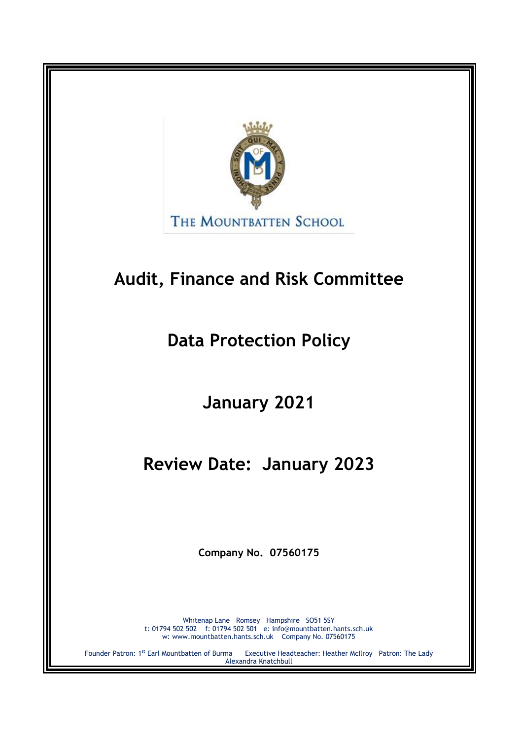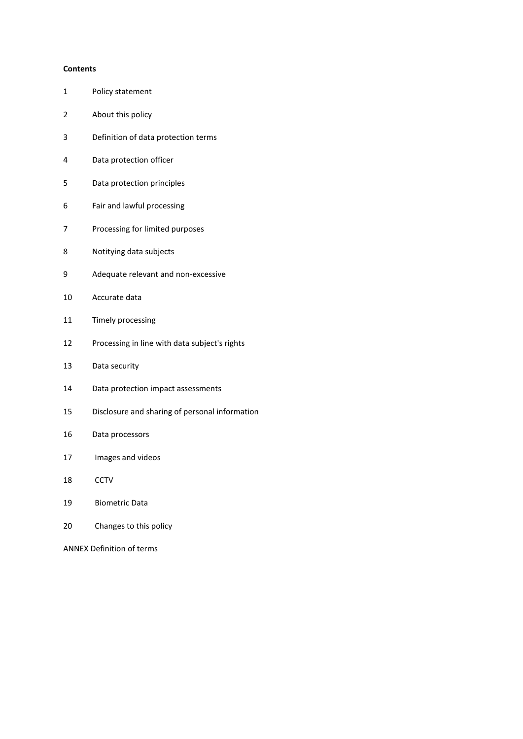#### **Contents**

- Policy statement
- About this policy
- Definition of data protection terms
- Data protection officer
- Data protection principles
- Fair and lawful processing
- Processing for limited purposes
- Notitying data subjects
- Adequate relevant and non-excessive
- Accurate data
- Timely processing
- Processing in line with data subject's rights
- Data security
- Data protection impact assessments
- Disclosure and sharing of personal information
- Data processors
- Images and videos
- CCTV
- Biometric Data
- Changes to this policy

ANNEX Definition of terms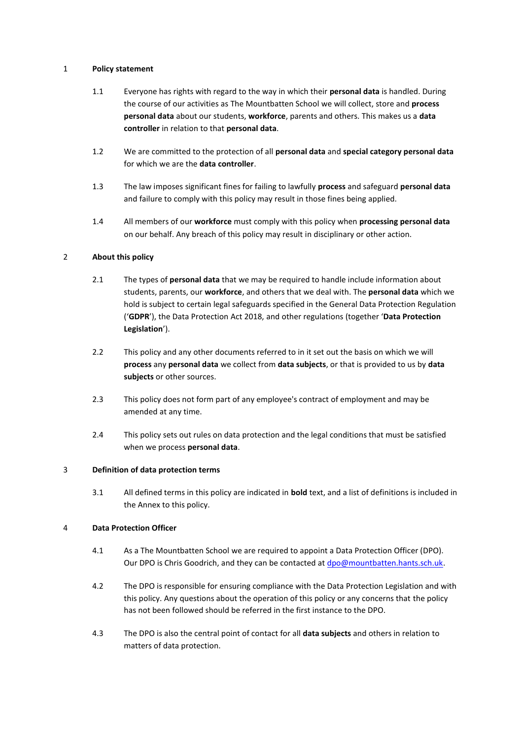# 1 **Policy statement**

- 1.1 Everyone has rights with regard to the way in which their **personal data** is handled. During the course of our activities as The Mountbatten School we will collect, store and **process personal data** about our students, **workforce**, parents and others. This makes us a **data controller** in relation to that **personal data**.
- 1.2 We are committed to the protection of all **personal data** and **special category personal data** for which we are the **data controller**.
- 1.3 The law imposes significant fines for failing to lawfully **process** and safeguard **personal data** and failure to comply with this policy may result in those fines being applied.
- 1.4 All members of our **workforce** must comply with this policy when **processing personal data** on our behalf. Any breach of this policy may result in disciplinary or other action.

# 2 **About this policy**

- 2.1 The types of **personal data** that we may be required to handle include information about students, parents, our **workforce**, and others that we deal with. The **personal data** which we hold is subject to certain legal safeguards specified in the General Data Protection Regulation ('**GDPR**'), the Data Protection Act 2018, and other regulations (together '**Data Protection Legislation**').
- 2.2 This policy and any other documents referred to in it set out the basis on which we will **process** any **personal data** we collect from **data subjects**, or that is provided to us by **data subjects** or other sources.
- 2.3 This policy does not form part of any employee's contract of employment and may be amended at any time.
- 2.4 This policy sets out rules on data protection and the legal conditions that must be satisfied when we process **personal data**.

# 3 **Definition of data protection terms**

3.1 All defined terms in this policy are indicated in **bold** text, and a list of definitions is included in the Annex to this policy.

# 4 **Data Protection Officer**

- 4.1 As a The Mountbatten School we are required to appoint a Data Protection Officer (DPO). Our DPO is Chris Goodrich, and they can be contacted at [dpo@mountbatten.hants.sch.uk.](mailto:dpo@mountbatten.hants.sch.uk)
- 4.2 The DPO is responsible for ensuring compliance with the Data Protection Legislation and with this policy. Any questions about the operation of this policy or any concerns that the policy has not been followed should be referred in the first instance to the DPO.
- 4.3 The DPO is also the central point of contact for all **data subjects** and others in relation to matters of data protection.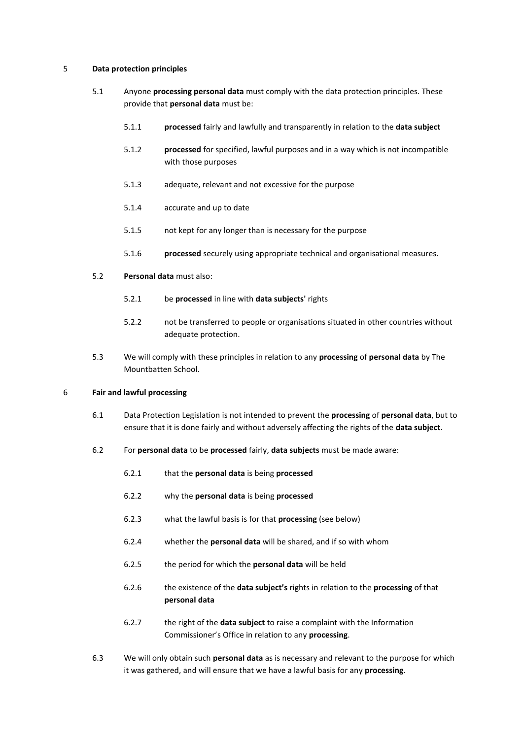# 5 **Data protection principles**

- 5.1 Anyone **processing personal data** must comply with the data protection principles. These provide that **personal data** must be:
	- 5.1.1 **processed** fairly and lawfully and transparently in relation to the **data subject**
	- 5.1.2 **processed** for specified, lawful purposes and in a way which is not incompatible with those purposes
	- 5.1.3 adequate, relevant and not excessive for the purpose
	- 5.1.4 accurate and up to date
	- 5.1.5 not kept for any longer than is necessary for the purpose
	- 5.1.6 **processed** securely using appropriate technical and organisational measures.

# 5.2 **Personal data** must also:

- 5.2.1 be **processed** in line with **data subjects'** rights
- 5.2.2 not be transferred to people or organisations situated in other countries without adequate protection.
- 5.3 We will comply with these principles in relation to any **processing** of **personal data** by The Mountbatten School.

#### 6 **Fair and lawful processing**

- 6.1 Data Protection Legislation is not intended to prevent the **processing** of **personal data**, but to ensure that it is done fairly and without adversely affecting the rights of the **data subject**.
- 6.2 For **personal data** to be **processed** fairly, **data subjects** must be made aware:
	- 6.2.1 that the **personal data** is being **processed**
	- 6.2.2 why the **personal data** is being **processed**
	- 6.2.3 what the lawful basis is for that **processing** (see below)
	- 6.2.4 whether the **personal data** will be shared, and if so with whom
	- 6.2.5 the period for which the **personal data** will be held
	- 6.2.6 the existence of the **data subject's** rights in relation to the **processing** of that **personal data**
	- 6.2.7 the right of the **data subject** to raise a complaint with the Information Commissioner's Office in relation to any **processing**.
- 6.3 We will only obtain such **personal data** as is necessary and relevant to the purpose for which it was gathered, and will ensure that we have a lawful basis for any **processing**.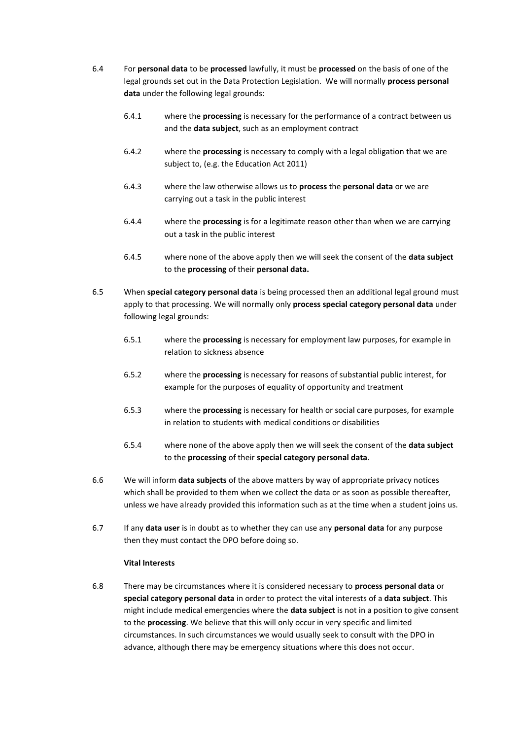- 6.4 For **personal data** to be **processed** lawfully, it must be **processed** on the basis of one of the legal grounds set out in the Data Protection Legislation. We will normally **process personal data** under the following legal grounds:
	- 6.4.1 where the **processing** is necessary for the performance of a contract between us and the **data subject**, such as an employment contract
	- 6.4.2 where the **processing** is necessary to comply with a legal obligation that we are subject to, (e.g. the Education Act 2011)
	- 6.4.3 where the law otherwise allows us to **process** the **personal data** or we are carrying out a task in the public interest
	- 6.4.4 where the **processing** is for a legitimate reason other than when we are carrying out a task in the public interest
	- 6.4.5 where none of the above apply then we will seek the consent of the **data subject** to the **processing** of their **personal data.**
- 6.5 When **special category personal data** is being processed then an additional legal ground must apply to that processing. We will normally only **process special category personal data** under following legal grounds:
	- 6.5.1 where the **processing** is necessary for employment law purposes, for example in relation to sickness absence
	- 6.5.2 where the **processing** is necessary for reasons of substantial public interest, for example for the purposes of equality of opportunity and treatment
	- 6.5.3 where the **processing** is necessary for health or social care purposes, for example in relation to students with medical conditions or disabilities
	- 6.5.4 where none of the above apply then we will seek the consent of the **data subject** to the **processing** of their **special category personal data**.
- 6.6 We will inform **data subjects** of the above matters by way of appropriate privacy notices which shall be provided to them when we collect the data or as soon as possible thereafter, unless we have already provided this information such as at the time when a student joins us.
- 6.7 If any **data user** is in doubt as to whether they can use any **personal data** for any purpose then they must contact the DPO before doing so.

# **Vital Interests**

6.8 There may be circumstances where it is considered necessary to **process personal data** or **special category personal data** in order to protect the vital interests of a **data subject**. This might include medical emergencies where the **data subject** is not in a position to give consent to the **processing**. We believe that this will only occur in very specific and limited circumstances. In such circumstances we would usually seek to consult with the DPO in advance, although there may be emergency situations where this does not occur.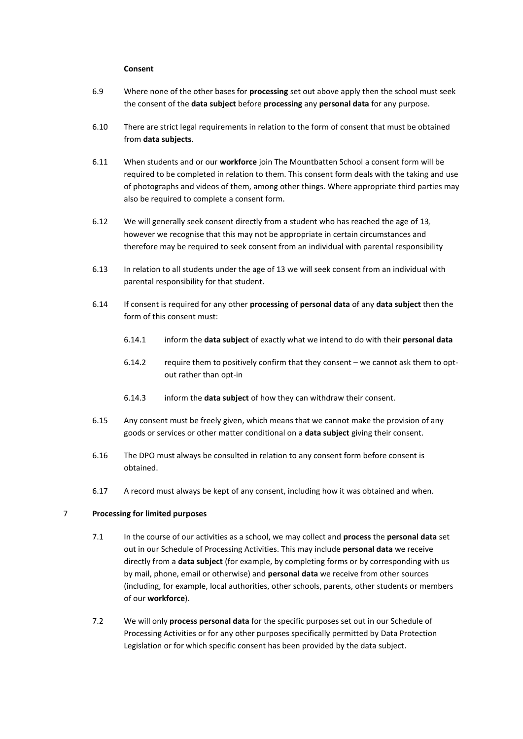#### **Consent**

- 6.9 Where none of the other bases for **processing** set out above apply then the school must seek the consent of the **data subject** before **processing** any **personal data** for any purpose.
- 6.10 There are strict legal requirements in relation to the form of consent that must be obtained from **data subjects**.
- 6.11 When students and or our **workforce** join The Mountbatten School a consent form will be required to be completed in relation to them. This consent form deals with the taking and use of photographs and videos of them, among other things. Where appropriate third parties may also be required to complete a consent form.
- 6.12 We will generally seek consent directly from a student who has reached the age of 13*,* however we recognise that this may not be appropriate in certain circumstances and therefore may be required to seek consent from an individual with parental responsibility
- 6.13 In relation to all students under the age of 13 we will seek consent from an individual with parental responsibility for that student.
- 6.14 If consent is required for any other **processing** of **personal data** of any **data subject** then the form of this consent must:
	- 6.14.1 inform the **data subject** of exactly what we intend to do with their **personal data**
	- 6.14.2 require them to positively confirm that they consent we cannot ask them to optout rather than opt-in
	- 6.14.3 inform the **data subject** of how they can withdraw their consent.
- 6.15 Any consent must be freely given, which means that we cannot make the provision of any goods or services or other matter conditional on a **data subject** giving their consent.
- 6.16 The DPO must always be consulted in relation to any consent form before consent is obtained.
- 6.17 A record must always be kept of any consent, including how it was obtained and when.

# 7 **Processing for limited purposes**

- 7.1 In the course of our activities as a school, we may collect and **process** the **personal data** set out in our Schedule of Processing Activities. This may include **personal data** we receive directly from a **data subject** (for example, by completing forms or by corresponding with us by mail, phone, email or otherwise) and **personal data** we receive from other sources (including, for example, local authorities, other schools, parents, other students or members of our **workforce**).
- 7.2 We will only **process personal data** for the specific purposes set out in our Schedule of Processing Activities or for any other purposes specifically permitted by Data Protection Legislation or for which specific consent has been provided by the data subject.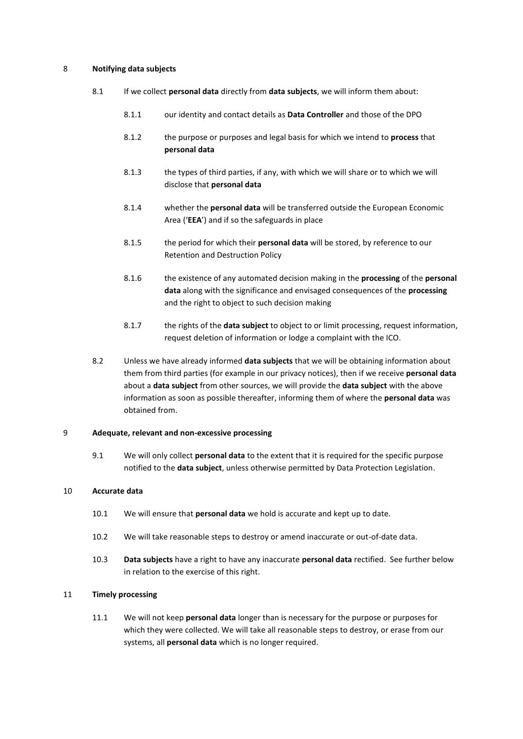# 8 **Notifying data subjects**

- 8.1 If we collect **personal data** directly from **data subjects**, we will inform them about:
	- 8.1.1 our identity and contact details as **Data Controller** and those of the DPO
	- 8.1.2 the purpose or purposes and legal basis for which we intend to **process** that **personal data**
	- 8.1.3 the types of third parties, if any, with which we will share or to which we will disclose that **personal data**
	- 8.1.4 whether the **personal data** will be transferred outside the European Economic Area ('**EEA**') and if so the safeguards in place
	- 8.1.5 the period for which their **personal data** will be stored, by reference to our Retention and Destruction Policy
	- 8.1.6 the existence of any automated decision making in the **processing** of the **personal data** along with the significance and envisaged consequences of the **processing** and the right to object to such decision making
	- 8.1.7 the rights of the **data subject** to object to or limit processing, request information, request deletion of information or lodge a complaint with the ICO.
- 8.2 Unless we have already informed **data subjects** that we will be obtaining information about them from third parties (for example in our privacy notices), then if we receive **personal data** about a **data subject** from other sources, we will provide the **data subject** with the above information as soon as possible thereafter, informing them of where the **personal data** was obtained from.

## 9 **Adequate, relevant and non-excessive processing**

9.1 We will only collect **personal data** to the extent that it is required for the specific purpose notified to the **data subject**, unless otherwise permitted by Data Protection Legislation.

#### 10 **Accurate data**

- 10.1 We will ensure that **personal data** we hold is accurate and kept up to date.
- 10.2 We will take reasonable steps to destroy or amend inaccurate or out-of-date data.
- 10.3 **Data subjects** have a right to have any inaccurate **personal data** rectified. See further below in relation to the exercise of this right.

# 11 **Timely processing**

11.1 We will not keep **personal data** longer than is necessary for the purpose or purposes for which they were collected. We will take all reasonable steps to destroy, or erase from our systems, all **personal data** which is no longer required.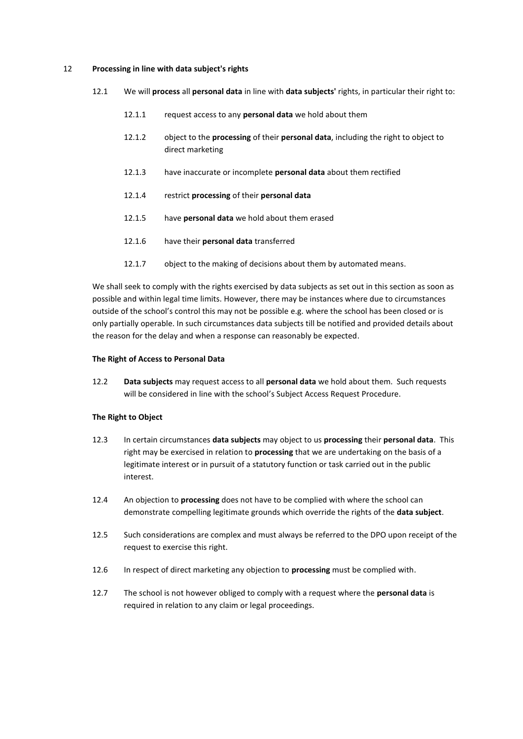#### 12 **Processing in line with data subject's rights**

- 12.1 We will **process** all **personal data** in line with **data subjects'** rights, in particular their right to:
	- 12.1.1 request access to any **personal data** we hold about them
	- 12.1.2 object to the **processing** of their **personal data**, including the right to object to direct marketing
	- 12.1.3 have inaccurate or incomplete **personal data** about them rectified
	- 12.1.4 restrict **processing** of their **personal data**
	- 12.1.5 have **personal data** we hold about them erased
	- 12.1.6 have their **personal data** transferred
	- 12.1.7 object to the making of decisions about them by automated means.

We shall seek to comply with the rights exercised by data subjects as set out in this section as soon as possible and within legal time limits. However, there may be instances where due to circumstances outside of the school's control this may not be possible e.g. where the school has been closed or is only partially operable. In such circumstances data subjects till be notified and provided details about the reason for the delay and when a response can reasonably be expected.

#### **The Right of Access to Personal Data**

12.2 **Data subjects** may request access to all **personal data** we hold about them. Such requests will be considered in line with the school's Subject Access Request Procedure.

#### **The Right to Object**

- 12.3 In certain circumstances **data subjects** may object to us **processing** their **personal data**. This right may be exercised in relation to **processing** that we are undertaking on the basis of a legitimate interest or in pursuit of a statutory function or task carried out in the public interest.
- 12.4 An objection to **processing** does not have to be complied with where the school can demonstrate compelling legitimate grounds which override the rights of the **data subject**.
- 12.5 Such considerations are complex and must always be referred to the DPO upon receipt of the request to exercise this right.
- 12.6 In respect of direct marketing any objection to **processing** must be complied with.
- 12.7 The school is not however obliged to comply with a request where the **personal data** is required in relation to any claim or legal proceedings.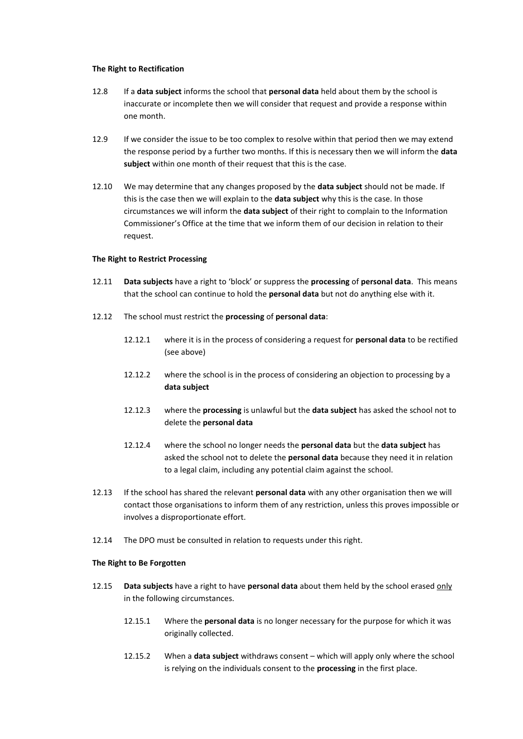#### **The Right to Rectification**

- 12.8 If a **data subject** informs the school that **personal data** held about them by the school is inaccurate or incomplete then we will consider that request and provide a response within one month.
- 12.9 If we consider the issue to be too complex to resolve within that period then we may extend the response period by a further two months. If this is necessary then we will inform the **data subject** within one month of their request that this is the case.
- 12.10 We may determine that any changes proposed by the **data subject** should not be made. If this is the case then we will explain to the **data subject** why this is the case. In those circumstances we will inform the **data subject** of their right to complain to the Information Commissioner's Office at the time that we inform them of our decision in relation to their request.

#### **The Right to Restrict Processing**

- 12.11 **Data subjects** have a right to 'block' or suppress the **processing** of **personal data**. This means that the school can continue to hold the **personal data** but not do anything else with it.
- 12.12 The school must restrict the **processing** of **personal data**:
	- 12.12.1 where it is in the process of considering a request for **personal data** to be rectified (see above)
	- 12.12.2 where the school is in the process of considering an objection to processing by a **data subject**
	- 12.12.3 where the **processing** is unlawful but the **data subject** has asked the school not to delete the **personal data**
	- 12.12.4 where the school no longer needs the **personal data** but the **data subject** has asked the school not to delete the **personal data** because they need it in relation to a legal claim, including any potential claim against the school.
- 12.13 If the school has shared the relevant **personal data** with any other organisation then we will contact those organisations to inform them of any restriction, unless this proves impossible or involves a disproportionate effort.
- 12.14 The DPO must be consulted in relation to requests under this right.

#### **The Right to Be Forgotten**

- 12.15 **Data subjects** have a right to have **personal data** about them held by the school erased only in the following circumstances.
	- 12.15.1 Where the **personal data** is no longer necessary for the purpose for which it was originally collected.
	- 12.15.2 When a **data subject** withdraws consent which will apply only where the school is relying on the individuals consent to the **processing** in the first place.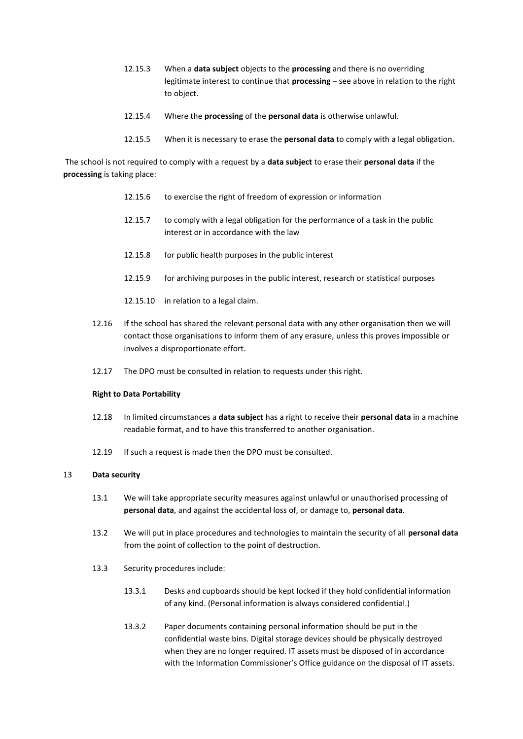- 12.15.3 When a **data subject** objects to the **processing** and there is no overriding legitimate interest to continue that **processing** – see above in relation to the right to object.
- 12.15.4 Where the **processing** of the **personal data** is otherwise unlawful.
- 12.15.5 When it is necessary to erase the **personal data** to comply with a legal obligation.

The school is not required to comply with a request by a **data subject** to erase their **personal data** if the **processing** is taking place:

- 12.15.6 to exercise the right of freedom of expression or information
- 12.15.7 to comply with a legal obligation for the performance of a task in the public interest or in accordance with the law
- 12.15.8 for public health purposes in the public interest
- 12.15.9 for archiving purposes in the public interest, research or statistical purposes
- 12.15.10 in relation to a legal claim.
- 12.16 If the school has shared the relevant personal data with any other organisation then we will contact those organisations to inform them of any erasure, unless this proves impossible or involves a disproportionate effort.
- 12.17 The DPO must be consulted in relation to requests under this right.

#### **Right to Data Portability**

- 12.18 In limited circumstances a **data subject** has a right to receive their **personal data** in a machine readable format, and to have this transferred to another organisation.
- 12.19 If such a request is made then the DPO must be consulted.

#### 13 **Data security**

- 13.1 We will take appropriate security measures against unlawful or unauthorised processing of **personal data**, and against the accidental loss of, or damage to, **personal data**.
- 13.2 We will put in place procedures and technologies to maintain the security of all **personal data** from the point of collection to the point of destruction.
- 13.3 Security procedures include:
	- 13.3.1 Desks and cupboards should be kept locked if they hold confidential information of any kind. (Personal information is always considered confidential.)
	- 13.3.2 Paper documents containing personal information should be put in the confidential waste bins. Digital storage devices should be physically destroyed when they are no longer required. IT assets must be disposed of in accordance with the Information Commissioner's Office guidance on the disposal of IT assets.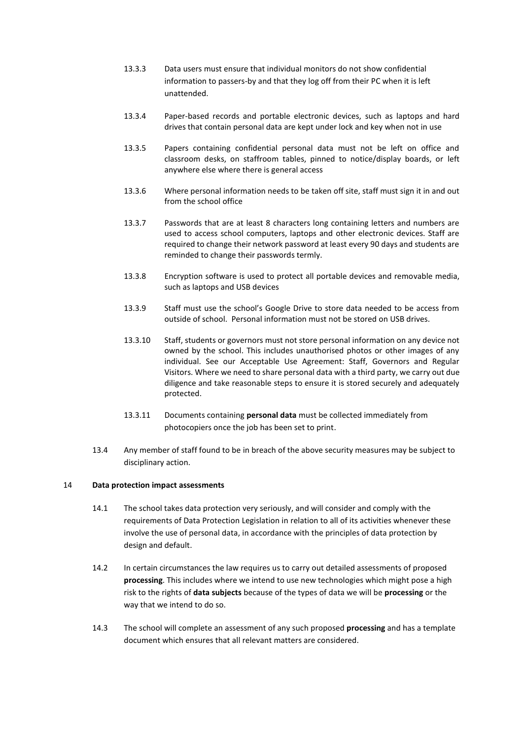- 13.3.3 Data users must ensure that individual monitors do not show confidential information to passers-by and that they log off from their PC when it is left unattended.
- 13.3.4 Paper-based records and portable electronic devices, such as laptops and hard drives that contain personal data are kept under lock and key when not in use
- 13.3.5 Papers containing confidential personal data must not be left on office and classroom desks, on staffroom tables, pinned to notice/display boards, or left anywhere else where there is general access
- 13.3.6 Where personal information needs to be taken off site, staff must sign it in and out from the school office
- 13.3.7 Passwords that are at least 8 characters long containing letters and numbers are used to access school computers, laptops and other electronic devices. Staff are required to change their network password at least every 90 days and students are reminded to change their passwords termly.
- 13.3.8 Encryption software is used to protect all portable devices and removable media, such as laptops and USB devices
- 13.3.9 Staff must use the school's Google Drive to store data needed to be access from outside of school. Personal information must not be stored on USB drives.
- 13.3.10 Staff, students or governors must not store personal information on any device not owned by the school. This includes unauthorised photos or other images of any individual. See our Acceptable Use Agreement: Staff, Governors and Regular Visitors. Where we need to share personal data with a third party, we carry out due diligence and take reasonable steps to ensure it is stored securely and adequately protected.
- 13.3.11 Documents containing **personal data** must be collected immediately from photocopiers once the job has been set to print.
- 13.4 Any member of staff found to be in breach of the above security measures may be subject to disciplinary action.

# 14 **Data protection impact assessments**

- 14.1 The school takes data protection very seriously, and will consider and comply with the requirements of Data Protection Legislation in relation to all of its activities whenever these involve the use of personal data, in accordance with the principles of data protection by design and default.
- 14.2 In certain circumstances the law requires us to carry out detailed assessments of proposed **processing**. This includes where we intend to use new technologies which might pose a high risk to the rights of **data subjects** because of the types of data we will be **processing** or the way that we intend to do so.
- 14.3 The school will complete an assessment of any such proposed **processing** and has a template document which ensures that all relevant matters are considered.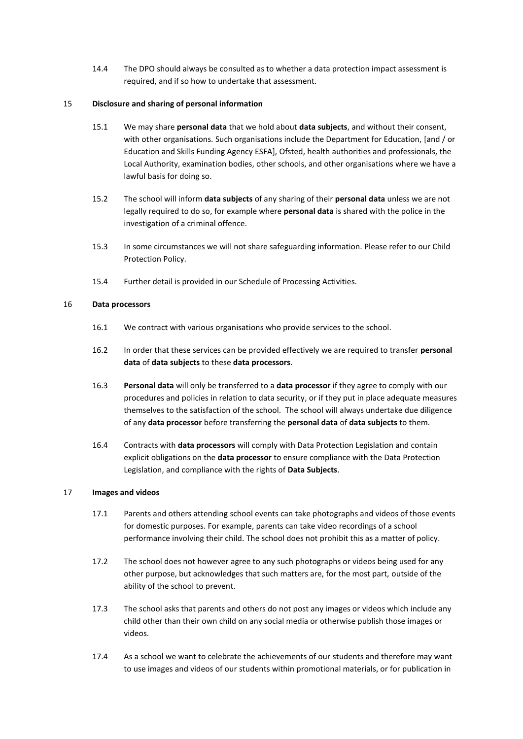14.4 The DPO should always be consulted as to whether a data protection impact assessment is required, and if so how to undertake that assessment.

# 15 **Disclosure and sharing of personal information**

- 15.1 We may share **personal data** that we hold about **data subjects**, and without their consent, with other organisations. Such organisations include the Department for Education, [and / or Education and Skills Funding Agency ESFA], Ofsted, health authorities and professionals, the Local Authority, examination bodies, other schools, and other organisations where we have a lawful basis for doing so.
- 15.2 The school will inform **data subjects** of any sharing of their **personal data** unless we are not legally required to do so, for example where **personal data** is shared with the police in the investigation of a criminal offence.
- 15.3 In some circumstances we will not share safeguarding information. Please refer to our Child Protection Policy.
- 15.4 Further detail is provided in our Schedule of Processing Activities.

# 16 **Data processors**

- 16.1 We contract with various organisations who provide services to the school.
- 16.2 In order that these services can be provided effectively we are required to transfer **personal data** of **data subjects** to these **data processors**.
- 16.3 **Personal data** will only be transferred to a **data processor** if they agree to comply with our procedures and policies in relation to data security, or if they put in place adequate measures themselves to the satisfaction of the school. The school will always undertake due diligence of any **data processor** before transferring the **personal data** of **data subjects** to them.
- 16.4 Contracts with **data processors** will comply with Data Protection Legislation and contain explicit obligations on the **data processor** to ensure compliance with the Data Protection Legislation, and compliance with the rights of **Data Subjects**.

# 17 **Images and videos**

- 17.1 Parents and others attending school events can take photographs and videos of those events for domestic purposes. For example, parents can take video recordings of a school performance involving their child. The school does not prohibit this as a matter of policy.
- 17.2 The school does not however agree to any such photographs or videos being used for any other purpose, but acknowledges that such matters are, for the most part, outside of the ability of the school to prevent.
- 17.3 The school asks that parents and others do not post any images or videos which include any child other than their own child on any social media or otherwise publish those images or videos.
- 17.4 As a school we want to celebrate the achievements of our students and therefore may want to use images and videos of our students within promotional materials, or for publication in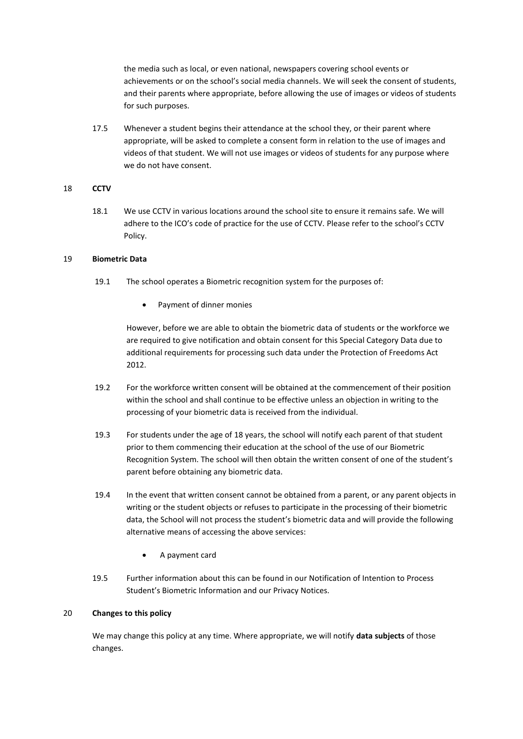the media such as local, or even national, newspapers covering school events or achievements or on the school's social media channels. We will seek the consent of students, and their parents where appropriate, before allowing the use of images or videos of students for such purposes.

17.5 Whenever a student begins their attendance at the school they, or their parent where appropriate, will be asked to complete a consent form in relation to the use of images and videos of that student. We will not use images or videos of students for any purpose where we do not have consent.

# 18 **CCTV**

18.1 We use CCTV in various locations around the school site to ensure it remains safe. We will adhere to the ICO's code of practice for the use of CCTV. Please refer to the school's CCTV Policy.

#### 19 **Biometric Data**

- 19.1 The school operates a Biometric recognition system for the purposes of:
	- Payment of dinner monies

However, before we are able to obtain the biometric data of students or the workforce we are required to give notification and obtain consent for this Special Category Data due to additional requirements for processing such data under the Protection of Freedoms Act 2012.

- 19.2 For the workforce written consent will be obtained at the commencement of their position within the school and shall continue to be effective unless an objection in writing to the processing of your biometric data is received from the individual.
- 19.3 For students under the age of 18 years, the school will notify each parent of that student prior to them commencing their education at the school of the use of our Biometric Recognition System. The school will then obtain the written consent of one of the student's parent before obtaining any biometric data.
- 19.4 In the event that written consent cannot be obtained from a parent, or any parent objects in writing or the student objects or refuses to participate in the processing of their biometric data, the School will not process the student's biometric data and will provide the following alternative means of accessing the above services:
	- A payment card
- 19.5 Further information about this can be found in our Notification of Intention to Process Student's Biometric Information and our Privacy Notices.

# 20 **Changes to this policy**

We may change this policy at any time. Where appropriate, we will notify **data subjects** of those changes.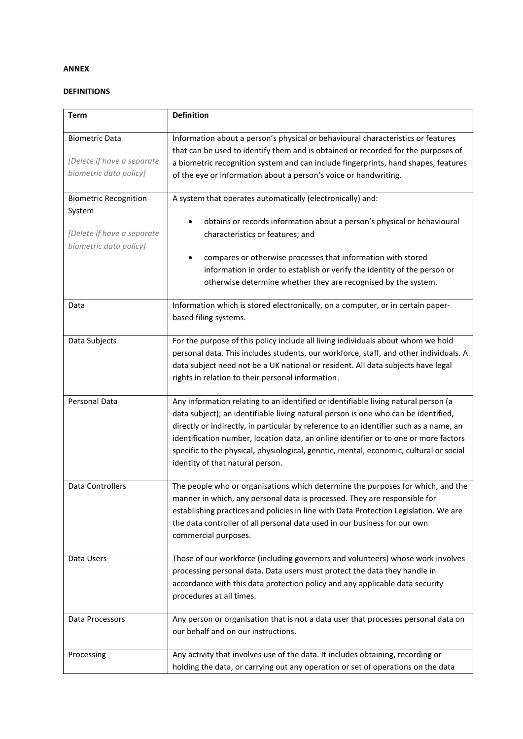# **ANNEX**

# **DEFINITIONS**

| <b>Term</b>                                                                                    | <b>Definition</b>                                                                                                                                                                                                                                                                                                                                                                                                                                                                        |
|------------------------------------------------------------------------------------------------|------------------------------------------------------------------------------------------------------------------------------------------------------------------------------------------------------------------------------------------------------------------------------------------------------------------------------------------------------------------------------------------------------------------------------------------------------------------------------------------|
| <b>Biometric Data</b><br>[Delete if have a separate<br>biometric data policy]                  | Information about a person's physical or behavioural characteristics or features<br>that can be used to identify them and is obtained or recorded for the purposes of<br>a biometric recognition system and can include fingerprints, hand shapes, features<br>of the eye or information about a person's voice or handwriting.                                                                                                                                                          |
| <b>Biometric Recognition</b><br>System<br>[Delete if have a separate<br>biometric data policy] | A system that operates automatically (electronically) and:<br>obtains or records information about a person's physical or behavioural<br>characteristics or features; and<br>compares or otherwise processes that information with stored<br>٠<br>information in order to establish or verify the identity of the person or<br>otherwise determine whether they are recognised by the system.                                                                                            |
| Data                                                                                           | Information which is stored electronically, on a computer, or in certain paper-<br>based filing systems.                                                                                                                                                                                                                                                                                                                                                                                 |
| Data Subjects                                                                                  | For the purpose of this policy include all living individuals about whom we hold<br>personal data. This includes students, our workforce, staff, and other individuals. A<br>data subject need not be a UK national or resident. All data subjects have legal<br>rights in relation to their personal information.                                                                                                                                                                       |
| Personal Data                                                                                  | Any information relating to an identified or identifiable living natural person (a<br>data subject); an identifiable living natural person is one who can be identified,<br>directly or indirectly, in particular by reference to an identifier such as a name, an<br>identification number, location data, an online identifier or to one or more factors<br>specific to the physical, physiological, genetic, mental, economic, cultural or social<br>identity of that natural person. |
| <b>Data Controllers</b>                                                                        | The people who or organisations which determine the purposes for which, and the<br>manner in which, any personal data is processed. They are responsible for<br>establishing practices and policies in line with Data Protection Legislation. We are<br>the data controller of all personal data used in our business for our own<br>commercial purposes.                                                                                                                                |
| Data Users                                                                                     | Those of our workforce (including governors and volunteers) whose work involves<br>processing personal data. Data users must protect the data they handle in<br>accordance with this data protection policy and any applicable data security<br>procedures at all times.                                                                                                                                                                                                                 |
| Data Processors                                                                                | Any person or organisation that is not a data user that processes personal data on<br>our behalf and on our instructions.                                                                                                                                                                                                                                                                                                                                                                |
| Processing                                                                                     | Any activity that involves use of the data. It includes obtaining, recording or<br>holding the data, or carrying out any operation or set of operations on the data                                                                                                                                                                                                                                                                                                                      |